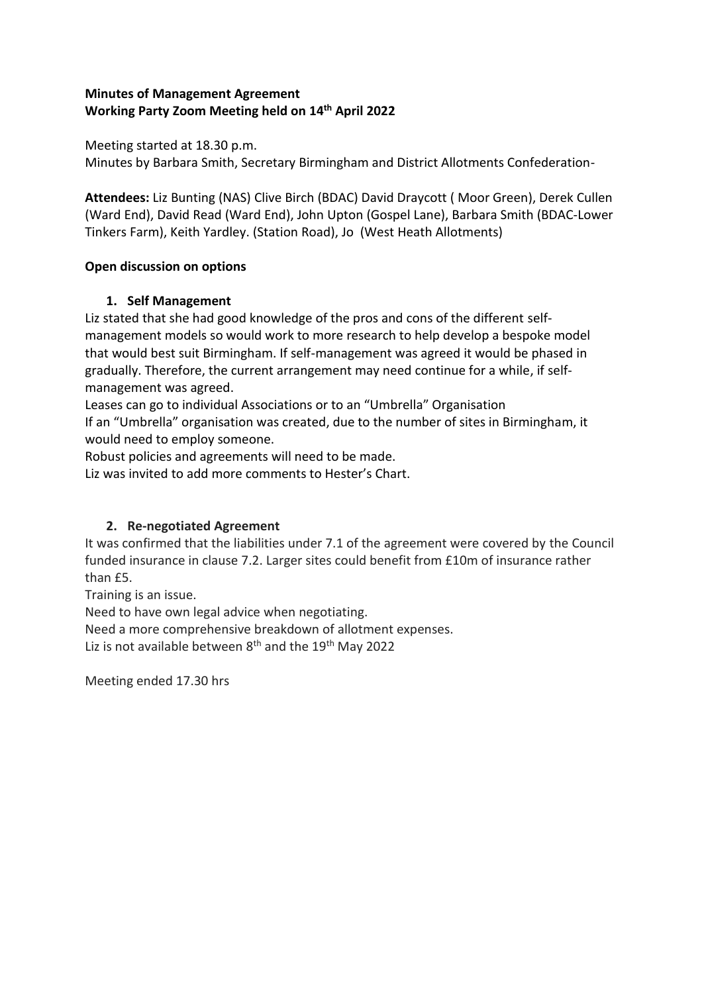## **Minutes of Management Agreement Working Party Zoom Meeting held on 14th April 2022**

Meeting started at 18.30 p.m. Minutes by Barbara Smith, Secretary Birmingham and District Allotments Confederation-

**Attendees:** Liz Bunting (NAS) Clive Birch (BDAC) David Draycott ( Moor Green), Derek Cullen (Ward End), David Read (Ward End), John Upton (Gospel Lane), Barbara Smith (BDAC-Lower Tinkers Farm), Keith Yardley. (Station Road), Jo (West Heath Allotments)

## **Open discussion on options**

## **1. Self Management**

Liz stated that she had good knowledge of the pros and cons of the different selfmanagement models so would work to more research to help develop a bespoke model that would best suit Birmingham. If self-management was agreed it would be phased in gradually. Therefore, the current arrangement may need continue for a while, if selfmanagement was agreed.

Leases can go to individual Associations or to an "Umbrella" Organisation If an "Umbrella" organisation was created, due to the number of sites in Birmingham, it would need to employ someone.

Robust policies and agreements will need to be made.

Liz was invited to add more comments to Hester's Chart.

## **2. Re-negotiated Agreement**

It was confirmed that the liabilities under 7.1 of the agreement were covered by the Council funded insurance in clause 7.2. Larger sites could benefit from £10m of insurance rather than £5.

Training is an issue.

Need to have own legal advice when negotiating.

Need a more comprehensive breakdown of allotment expenses.

Liz is not available between  $8<sup>th</sup>$  and the 19<sup>th</sup> May 2022

Meeting ended 17.30 hrs